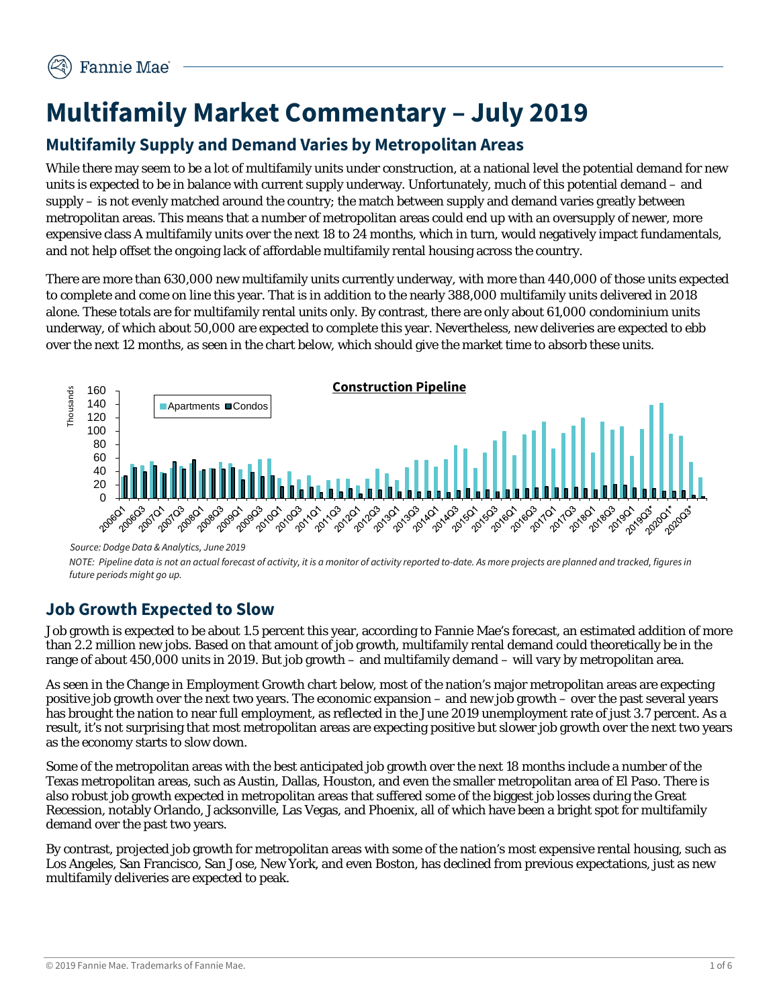# **Multifamily Market Commentary – July 2019**

## **Multifamily Supply and Demand Varies by Metropolitan Areas**

While there may seem to be a lot of multifamily units under construction, at a national level the potential demand for new units is expected to be in balance with current supply underway. Unfortunately, much of this potential demand – and supply – is not evenly matched around the country; the match between supply and demand varies greatly between metropolitan areas. This means that a number of metropolitan areas could end up with an oversupply of newer, more expensive class A multifamily units over the next 18 to 24 months, which in turn, would negatively impact fundamentals, and not help offset the ongoing lack of affordable multifamily rental housing across the country.

There are more than 630,000 new multifamily units currently underway, with more than 440,000 of those units expected to complete and come on line this year. That is in addition to the nearly 388,000 multifamily units delivered in 2018 alone. These totals are for multifamily rental units only. By contrast, there are only about 61,000 condominium units underway, of which about 50,000 are expected to complete this year. Nevertheless, new deliveries are expected to ebb over the next 12 months, as seen in the chart below, which should give the market time to absorb these units.



*Source: Dodge Data & Analytics, June 2019*

*NOTE: Pipeline data is not an actual forecast of activity, it is a monitor of activity reported to-date. As more projects are planned and tracked, figures in future periods might go up.* 

## **Job Growth Expected to Slow**

Job growth is expected to be about 1.5 percent this year, according to Fannie Mae's forecast, an estimated addition of more than 2.2 million new jobs. Based on that amount of job growth, multifamily rental demand could theoretically be in the range of about 450,000 units in 2019. But job growth – and multifamily demand – will vary by metropolitan area.

As seen in the Change in Employment Growth chart below, most of the nation's major metropolitan areas are expecting positive job growth over the next two years. The economic expansion – and new job growth – over the past several years has brought the nation to near full employment, as reflected in the June 2019 unemployment rate of just 3.7 percent. As a result, it's not surprising that most metropolitan areas are expecting positive but slower job growth over the next two years as the economy starts to slow down.

Some of the metropolitan areas with the best anticipated job growth over the next 18 months include a number of the Texas metropolitan areas, such as Austin, Dallas, Houston, and even the smaller metropolitan area of El Paso. There is also robust job growth expected in metropolitan areas that suffered some of the biggest job losses during the Great Recession, notably Orlando, Jacksonville, Las Vegas, and Phoenix, all of which have been a bright spot for multifamily demand over the past two years.

By contrast, projected job growth for metropolitan areas with some of the nation's most expensive rental housing, such as Los Angeles, San Francisco, San Jose, New York, and even Boston, has declined from previous expectations, just as new multifamily deliveries are expected to peak.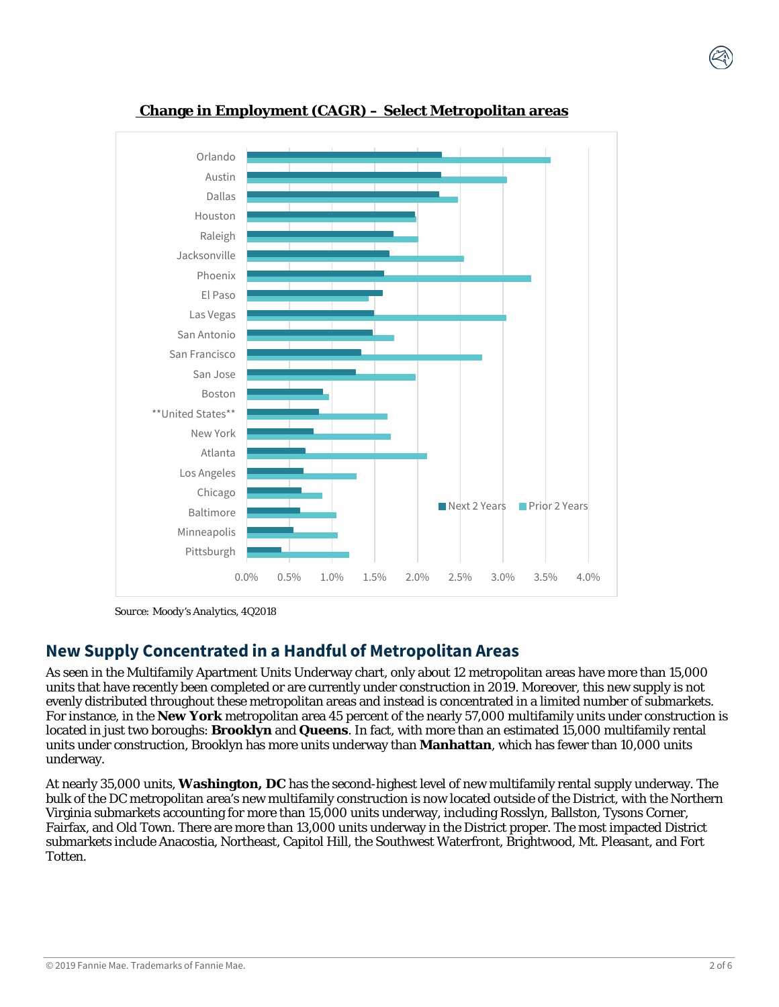

#### **Change in Employment (CAGR) – Select Metropolitan areas**

*Source: Moody's Analytics, 4Q2018*

#### **New Supply Concentrated in a Handful of Metropolitan Areas**

As seen in the Multifamily Apartment Units Underway chart, only about 12 metropolitan areas have more than 15,000 units that have recently been completed or are currently under construction in 2019. Moreover, this new supply is not evenly distributed throughout these metropolitan areas and instead is concentrated in a limited number of submarkets. For instance, in the **New York** metropolitan area 45 percent of the nearly 57,000 multifamily units under construction is located in just two boroughs: **Brooklyn** and **Queens**. In fact, with more than an estimated 15,000 multifamily rental units under construction, Brooklyn has more units underway than **Manhattan**, which has fewer than 10,000 units underway.

At nearly 35,000 units, **Washington, DC** has the second-highest level of new multifamily rental supply underway. The bulk of the DC metropolitan area's new multifamily construction is now located outside of the District, with the Northern Virginia submarkets accounting for more than 15,000 units underway, including Rosslyn, Ballston, Tysons Corner, Fairfax, and Old Town. There are more than 13,000 units underway in the District proper. The most impacted District submarkets include Anacostia, Northeast, Capitol Hill, the Southwest Waterfront, Brightwood, Mt. Pleasant, and Fort Totten.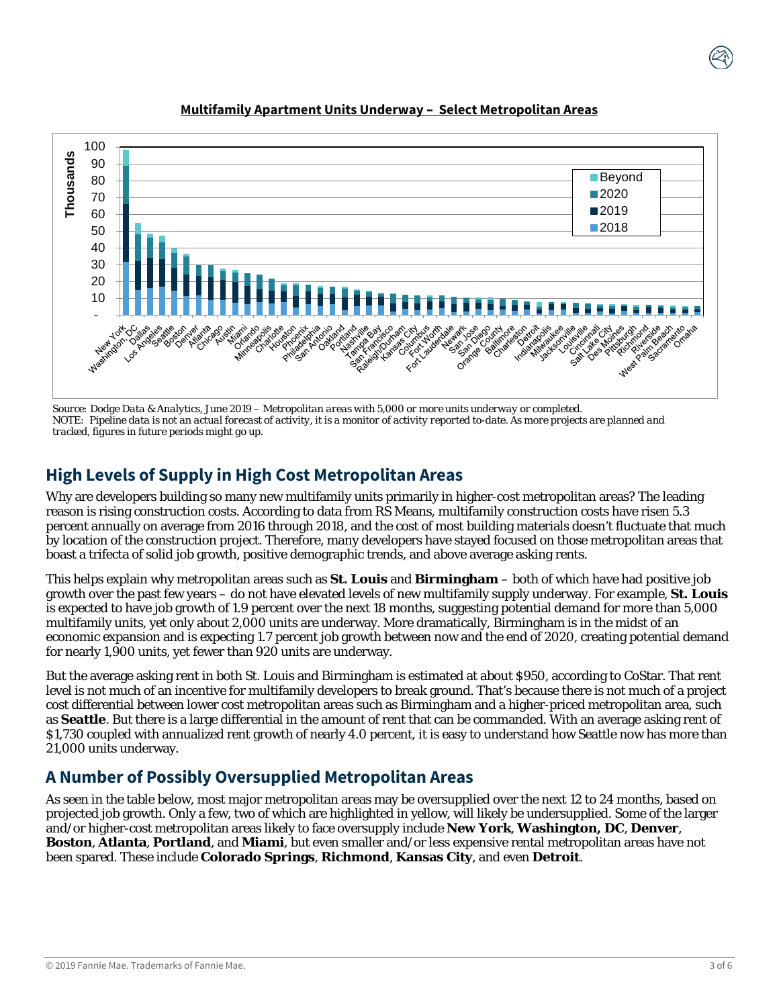

#### **Multifamily Apartment Units Underway – Select Metropolitan Areas**

*Source: Dodge Data & Analytics, June 2019 – Metropolitan areas with 5,000 or more units underway or completed. NOTE: Pipeline data is not an actual forecast of activity, it is a monitor of activity reported to-date. As more projects are planned and tracked, figures in future periods might go up.* 

### **High Levels of Supply in High Cost Metropolitan Areas**

Why are developers building so many new multifamily units primarily in higher-cost metropolitan areas? The leading reason is rising construction costs. According to data from RS Means, multifamily construction costs have risen 5.3 percent annually on average from 2016 through 2018, and the cost of most building materials doesn't fluctuate that much by location of the construction project. Therefore, many developers have stayed focused on those metropolitan areas that boast a trifecta of solid job growth, positive demographic trends, and above average asking rents.

This helps explain why metropolitan areas such as **St. Louis** and **Birmingham** – both of which have had positive job growth over the past few years – do not have elevated levels of new multifamily supply underway. For example, **St. Louis** is expected to have job growth of 1.9 percent over the next 18 months, suggesting potential demand for more than 5,000 multifamily units, yet only about 2,000 units are underway. More dramatically, Birmingham is in the midst of an economic expansion and is expecting 1.7 percent job growth between now and the end of 2020, creating potential demand for nearly 1,900 units, yet fewer than 920 units are underway.

But the average asking rent in both St. Louis and Birmingham is estimated at about \$950, according to CoStar. That rent level is not much of an incentive for multifamily developers to break ground. That's because there is not much of a project cost differential between lower cost metropolitan areas such as Birmingham and a higher-priced metropolitan area, such as **Seattle**. But there is a large differential in the amount of rent that can be commanded. With an average asking rent of \$1,730 coupled with annualized rent growth of nearly 4.0 percent, it is easy to understand how Seattle now has more than 21,000 units underway.

#### **A Number of Possibly Oversupplied Metropolitan Areas**

As seen in the table below, most major metropolitan areas may be oversupplied over the next 12 to 24 months, based on projected job growth. Only a few, two of which are highlighted in yellow, will likely be undersupplied. Some of the larger and/or higher-cost metropolitan areas likely to face oversupply include **New York**, **Washington, DC**, **Denver**, **Boston**, **Atlanta**, **Portland**, and **Miami**, but even smaller and/or less expensive rental metropolitan areas have not been spared. These include **Colorado Springs**, **Richmond**, **Kansas City**, and even **Detroit**.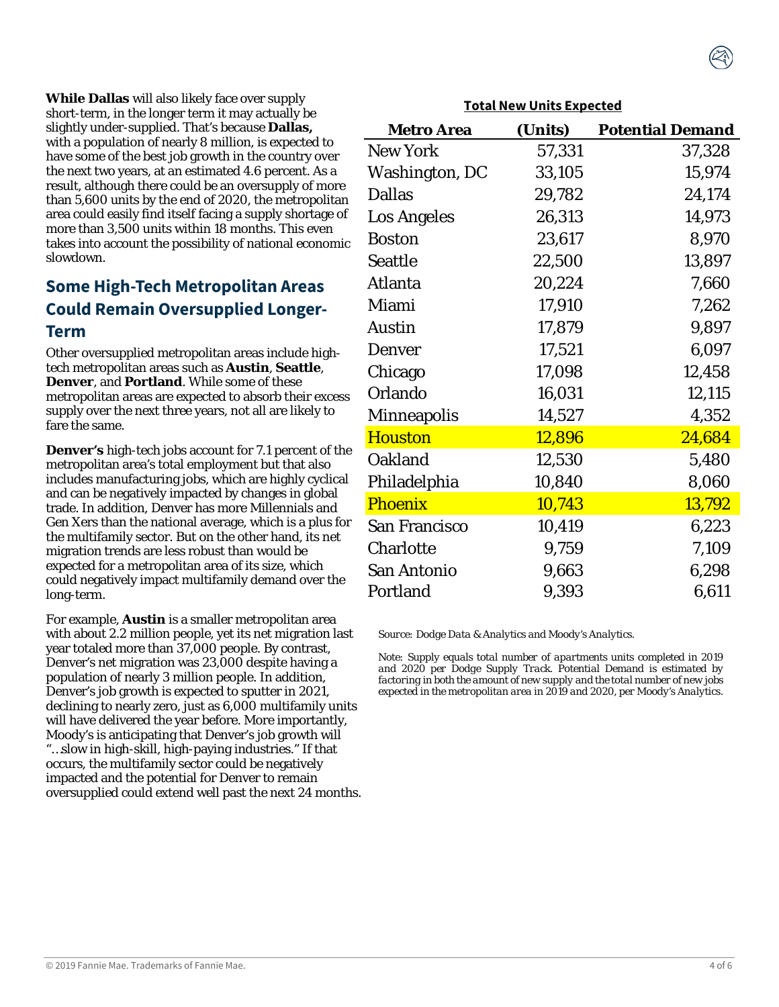**While Dallas** will also likely face over supply short-term, in the longer term it may actually be slightly under-supplied. That's because **Dallas,**  with a population of nearly 8 million, is expected to have some of the best job growth in the country over the next two years, at an estimated 4.6 percent. As a result, although there could be an oversupply of more than 5,600 units by the end of 2020, the metropolitan area could easily find itself facing a supply shortage of more than 3,500 units within 18 months. This even takes into account the possibility of national economic slowdown.

#### **Some High-Tech Metropolitan Areas Could Remain Oversupplied Longer-Term**

Other oversupplied metropolitan areas include hightech metropolitan areas such as **Austin**, **Seattle**, **Denver**, and **Portland**. While some of these metropolitan areas are expected to absorb their excess supply over the next three years, not all are likely to fare the same.

**Denver's** high-tech jobs account for 7.1 percent of the metropolitan area's total employment but that also includes manufacturing jobs, which are highly cyclical and can be negatively impacted by changes in global trade. In addition, Denver has more Millennials and Gen Xers than the national average, which is a plus for the multifamily sector. But on the other hand, its net migration trends are less robust than would be expected for a metropolitan area of its size, which could negatively impact multifamily demand over the long-term.

For example, **Austin** is a smaller metropolitan area with about 2.2 million people, yet its net migration last year totaled more than 37,000 people. By contrast, Denver's net migration was 23,000 despite having a population of nearly 3 million people. In addition, Denver's job growth is expected to sputter in 2021, declining to nearly zero, just as 6,000 multifamily units will have delivered the year before. More importantly, Moody's is anticipating that Denver's job growth will "…slow in high-skill, high-paying industries." If that occurs, the multifamily sector could be negatively impacted and the potential for Denver to remain oversupplied could extend well past the next 24 months.

| <b>Metro Area</b>     | (Units) | <b>Potential Demand</b> |
|-----------------------|---------|-------------------------|
| New York              | 57,331  | 37,328                  |
| <b>Washington, DC</b> | 33,105  | 15,974                  |
| <b>Dallas</b>         | 29,782  | 24,174                  |
| <b>Los Angeles</b>    | 26,313  | 14,973                  |
| Boston                | 23,617  | 8,970                   |
| Seattle               | 22,500  | 13,897                  |
| Atlanta               | 20,224  | 7,660                   |
| Miami                 | 17,910  | 7,262                   |
| Austin                | 17,879  | 9,897                   |
| Denver                | 17,521  | 6,097                   |
| Chicago               | 17,098  | 12,458                  |
| Orlando               | 16,031  | 12,115                  |
| Minneapolis           | 14,527  | 4,352                   |
| <b>Houston</b>        | 12,896  | 24,684                  |
| <b>Oakland</b>        | 12,530  | 5,480                   |
| Philadelphia          | 10,840  | 8,060                   |
| <b>Phoenix</b>        | 10,743  | 13,792                  |
| <b>San Francisco</b>  | 10,419  | 6,223                   |
| <b>Charlotte</b>      | 9,759   | 7,109                   |
| <b>San Antonio</b>    | 9,663   | 6,298                   |
| Portland              | 9,393   | 6,611                   |

#### **Total New Units Expected**

*Source: Dodge Data & Analytics and Moody's Analytics.* 

*Note: Supply equals total number of apartments units completed in 2019 and 2020 per Dodge Supply Track. Potential Demand is estimated by factoring in both the amount of new supply and the total number of new jobs expected in the metropolitan area in 2019 and 2020, per Moody's Analytics.*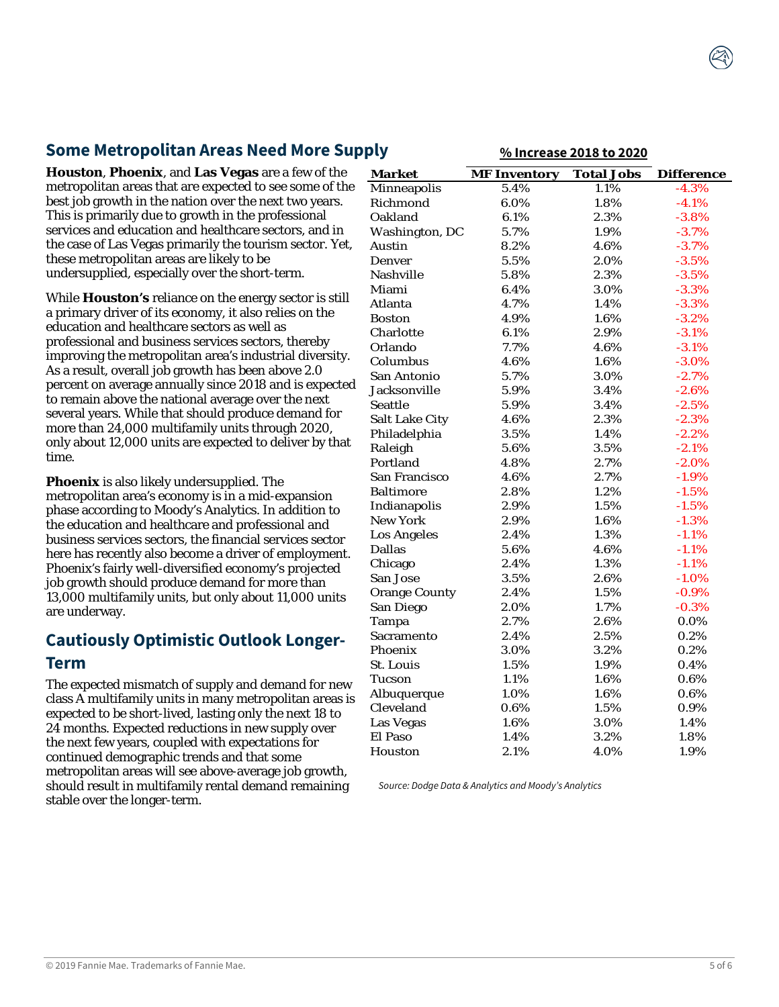### **Some Metropolitan Areas Need More Supply**

**Houston**, **Phoenix**, and **Las Vegas** are a few of the metropolitan areas that are expected to see some of the best job growth in the nation over the next two years. This is primarily due to growth in the professional services and education and healthcare sectors, and in the case of Las Vegas primarily the tourism sector. Yet, these metropolitan areas are likely to be undersupplied, especially over the short-term.

While **Houston's** reliance on the energy sector is still a primary driver of its economy, it also relies on the education and healthcare sectors as well as professional and business services sectors, thereby improving the metropolitan area's industrial diversity. As a result, overall job growth has been above 2.0 percent on average annually since 2018 and is expected to remain above the national average over the next several years. While that should produce demand for more than 24,000 multifamily units through 2020, only about 12,000 units are expected to deliver by that time.

**Phoenix** is also likely undersupplied. The metropolitan area's economy is in a mid-expansion phase according to Moody's Analytics. In addition to the education and healthcare and professional and business services sectors, the financial services sector here has recently also become a driver of employment. Phoenix's fairly well-diversified economy's projected job growth should produce demand for more than 13,000 multifamily units, but only about 11,000 units are underway.

#### **Cautiously Optimistic Outlook Longer-Term**

The expected mismatch of supply and demand for new class A multifamily units in many metropolitan areas is expected to be short-lived, lasting only the next 18 to 24 months. Expected reductions in new supply over the next few years, coupled with expectations for continued demographic trends and that some metropolitan areas will see above-average job growth, should result in multifamily rental demand remaining stable over the longer-term.

| ניזי                  |                     | <u>70 IIIUI CASC 2010 LU 2020</u> |                   |
|-----------------------|---------------------|-----------------------------------|-------------------|
| <b>Market</b>         | <b>MF Inventory</b> | <b>Total Jobs</b>                 | <b>Difference</b> |
| Minneapolis           | 5.4%                | 1.1%                              | $-4.3%$           |
| Richmond              | $6.0\%$             | 1.8%                              | $-4.1%$           |
| Oakland               | 6.1%                | 2.3%                              | $-3.8%$           |
| Washington, DC        | 5.7%                | 1.9%                              | $-3.7%$           |
| Austin                | 8.2%                | 4.6%                              | $-3.7%$           |
| Denver                | 5.5%                | 2.0%                              | $-3.5%$           |
| <b>Nashville</b>      | 5.8%                | 2.3%                              | $-3.5%$           |
| Miami                 | 6.4%                | 3.0%                              | $-3.3%$           |
| Atlanta               | 4.7%                | 1.4%                              | $-3.3%$           |
| Boston                | 4.9%                | 1.6%                              | $-3.2%$           |
| Charlotte             | 6.1%                | 2.9%                              | $-3.1%$           |
| Orlando               | 7.7%                | 4.6%                              | $-3.1%$           |
| Columbus              | 4.6%                | 1.6%                              | $-3.0%$           |
| San Antonio           | 5.7%                | 3.0%                              | $-2.7%$           |
| Jacksonville          | 5.9%                | 3.4%                              | $-2.6%$           |
| Seattle               | 5.9%                | 3.4%                              | $-2.5%$           |
| <b>Salt Lake City</b> | 4.6%                | 2.3%                              | $-2.3%$           |
| Philadelphia          | 3.5%                | 1.4%                              | $-2.2%$           |
| Raleigh               | 5.6%                | 3.5%                              | $-2.1%$           |
| Portland              | 4.8%                | 2.7%                              | $-2.0%$           |
| San Francisco         | 4.6%                | 2.7%                              | $-1.9%$           |
| <b>Baltimore</b>      | 2.8%                | 1.2%                              | $-1.5%$           |
| Indianapolis          | 2.9%                | 1.5%                              | $-1.5%$           |
| <b>New York</b>       | 2.9%                | 1.6%                              | $-1.3%$           |
| <b>Los Angeles</b>    | 2.4%                | 1.3%                              | $-1.1%$           |
| Dallas                | 5.6%                | 4.6%                              | $-1.1%$           |
| Chicago               | 2.4%                | 1.3%                              | $-1.1%$           |
| San Jose              | 3.5%                | 2.6%                              | $-1.0\%$          |
| <b>Orange County</b>  | 2.4%                | 1.5%                              | $-0.9%$           |
| San Diego             | 2.0%                | 1.7%                              | $-0.3%$           |
| Tampa                 | 2.7%                | 2.6%                              | $0.0\%$           |
| Sacramento            | 2.4%                | 2.5%                              | $0.2\%$           |
| Phoenix               | 3.0%                | 3.2%                              | 0.2%              |
| St. Louis             | 1.5%                | 1.9%                              | 0.4%              |
| Tucson                | 1.1%                | 1.6%                              | 0.6%              |
| Albuquerque           | 1.0%                | 1.6%                              | 0.6%              |
| Cleveland             | 0.6%                | 1.5%                              | 0.9%              |
| <b>Las Vegas</b>      | 1.6%                | $3.0\%$                           | 1.4%              |
| El Paso               | 1.4%                | 3.2%                              | 1.8%              |
| Houston               | $2.1\%$             | 4.0%                              | 1.9%              |

**% Increase 2018 to 2020**

*Source: Dodge Data & Analytics and Moody's Analytics*